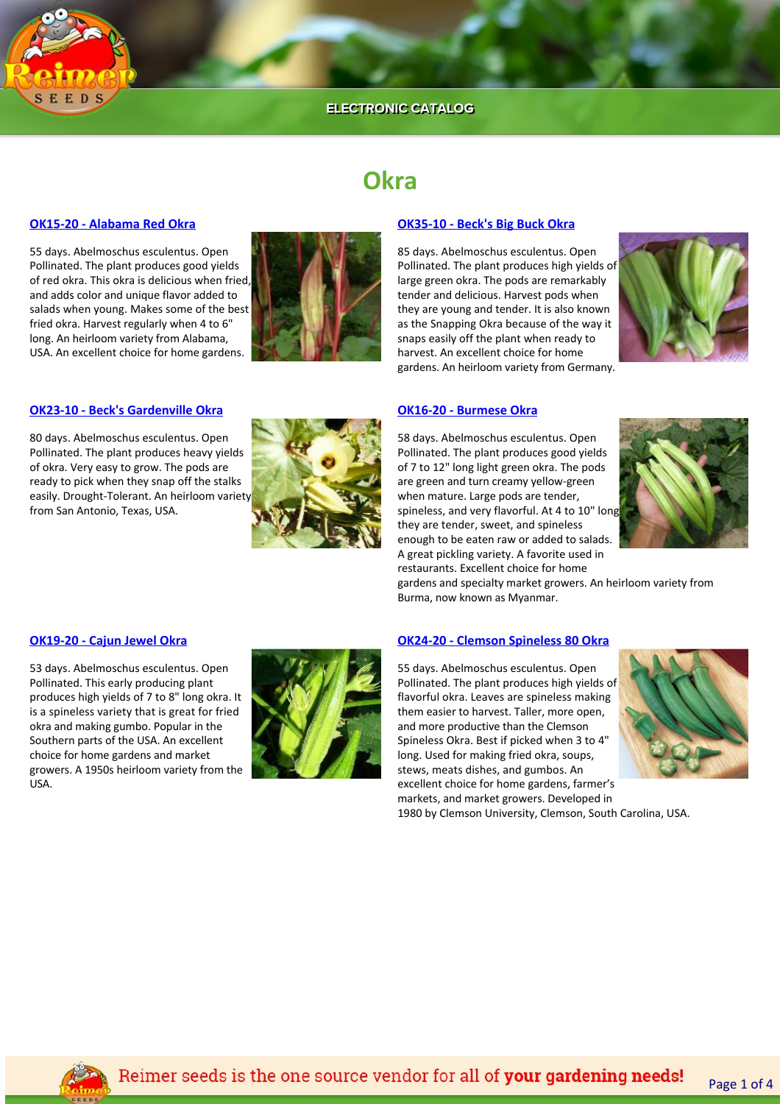

# **Okra**

# **[OK15‐20 ‐ Alabama Red Okra](https://www.reimerseeds.com//alabama-red-okra.aspx)**

55 days. Abelmoschus esculentus. Open Pollinated. The plant produces good yields of red okra. This okra is delicious when fried, and adds color and unique flavor added to salads when young. Makes some of the best fried okra. Harvest regularly when 4 to 6" long. An heirloom variety from Alabama, USA. An excellent choice for home gardens.



# **[OK35‐10 ‐ Beck's Big Buck Okra](https://www.reimerseeds.com//beck-big-buck-okra.aspx)**

85 days. Abelmoschus esculentus. Open Pollinated. The plant produces high yields of large green okra. The pods are remarkably tender and delicious. Harvest pods when they are young and tender. It is also known as the Snapping Okra because of the way it snaps easily off the plant when ready to harvest. An excellent choice for home gardens. An heirloom variety from Germany.



# **[OK23‐10 ‐ Beck's Gardenville Okra](https://www.reimerseeds.com//becks-gardenville-okra.aspx)**

80 days. Abelmoschus esculentus. Open Pollinated. The plant produces heavy yields of okra. Very easy to grow. The pods are ready to pick when they snap off the stalks easily. Drought‐Tolerant. An heirloom variety from San Antonio, Texas, USA.



### **[OK16‐20 ‐ Burmese Okra](https://www.reimerseeds.com//burmese-okra.aspx)**

58 days. Abelmoschus esculentus. Open Pollinated. The plant produces good yields of 7 to 12" long light green okra. The pods are green and turn creamy yellow‐green when mature. Large pods are tender, spineless, and very flavorful. At 4 to 10" long they are tender, sweet, and spineless enough to be eaten raw or added to salads. A great pickling variety. A favorite used in restaurants. Excellent choice for home



gardens and specialty market growers. An heirloom variety from Burma, now known as Myanmar.

# **[OK19‐20 ‐ Cajun Jewel Okra](https://www.reimerseeds.com//cajun-jewel-okra.aspx)**

53 days. Abelmoschus esculentus. Open Pollinated. This early producing plant produces high yields of 7 to 8" long okra. It is a spineless variety that is great for fried okra and making gumbo. Popular in the Southern parts of the USA. An excellent choice for home gardens and market growers. A 1950s heirloom variety from the USA.



# **[OK24‐20 ‐ Clemson Spineless 80 Okra](https://www.reimerseeds.com//clemson-spineless-80-okra.aspx)**

55 days. Abelmoschus esculentus. Open Pollinated. The plant produces high yields of flavorful okra. Leaves are spineless making them easier to harvest. Taller, more open, and more productive than the Clemson Spineless Okra. Best if picked when 3 to 4" long. Used for making fried okra, soups, stews, meats dishes, and gumbos. An excellent choice for home gardens, farmer's markets, and market growers. Developed in 1980 by Clemson University, Clemson, South Carolina, USA.



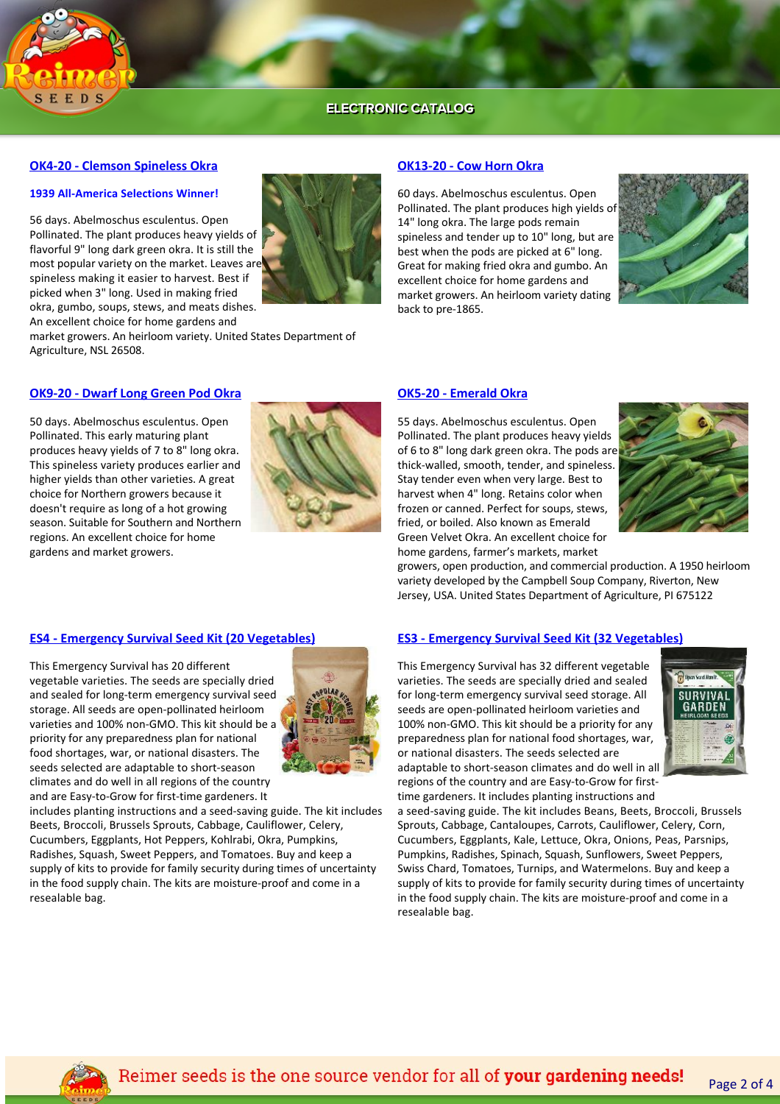

# **[OK4‐20 ‐ Clemson Spineless Okra](https://www.reimerseeds.com//clemson-spineless-okra.aspx)**

### **1939 All‐America Selections Winner!**

56 days. Abelmoschus esculentus. Open Pollinated. The plant produces heavy yields of flavorful 9" long dark green okra. It is still the most popular variety on the market. Leaves are spineless making it easier to harvest. Best if picked when 3" long. Used in making fried okra, gumbo, soups, stews, and meats dishes. An excellent choice for home gardens and

market growers. An heirloom variety. United States Department of Agriculture, NSL 26508.

# **[OK9‐20 ‐ Dwarf Long Green Pod Okra](https://www.reimerseeds.com//dwarf-long-green-pod-okra.aspx)**

50 days. Abelmoschus esculentus. Open Pollinated. This early maturing plant produces heavy yields of 7 to 8" long okra. This spineless variety produces earlier and higher yields than other varieties. A great choice for Northern growers because it doesn't require as long of a hot growing season. Suitable for Southern and Northern regions. An excellent choice for home gardens and market growers.



### **[OK13‐20 ‐ Cow Horn Okra](https://www.reimerseeds.com//cow-horn-okra.aspx)**

60 days. Abelmoschus esculentus. Open Pollinated. The plant produces high yields of 14" long okra. The large pods remain spineless and tender up to 10" long, but are best when the pods are picked at 6" long. Great for making fried okra and gumbo. An excellent choice for home gardens and market growers. An heirloom variety dating back to pre‐1865.



## **[OK5‐20 ‐ Emerald Okra](https://www.reimerseeds.com//emerald-okra.aspx)**

55 days. Abelmoschus esculentus. Open Pollinated. The plant produces heavy yields of 6 to 8" long dark green okra. The pods are thick‐walled, smooth, tender, and spineless. Stay tender even when very large. Best to harvest when 4" long. Retains color when frozen or canned. Perfect for soups, stews, fried, or boiled. Also known as Emerald Green Velvet Okra. An excellent choice for home gardens, farmer's markets, market



growers, open production, and commercial production. A 1950 heirloom variety developed by the Campbell Soup Company, Riverton, New Jersey, USA. United States Department of Agriculture, PI 675122

## **[ES3 ‐ Emergency Survival Seed Kit \(32 Vegetables\)](https://www.reimerseeds.com//Emergency-Survival-Seed-Kit-32-Vegetables.aspx)**

This Emergency Survival has 32 different vegetable varieties. The seeds are specially dried and sealed for long-term emergency survival seed storage. All seeds are open‐pollinated heirloom varieties and 100% non‐GMO. This kit should be a priority for any preparedness plan for national food shortages, war, or national disasters. The seeds selected are adaptable to short‐season climates and do well in all regions of the country and are Easy-to-Grow for first-



time gardeners. It includes planting instructions and a seed‐saving guide. The kit includes Beans, Beets, Broccoli, Brussels Sprouts, Cabbage, Cantaloupes, Carrots, Cauliflower, Celery, Corn, Cucumbers, Eggplants, Kale, Lettuce, Okra, Onions, Peas, Parsnips, Pumpkins, Radishes, Spinach, Squash, Sunflowers, Sweet Peppers, Swiss Chard, Tomatoes, Turnips, and Watermelons. Buy and keep a supply of kits to provide for family security during times of uncertainty in the food supply chain. The kits are moisture‐proof and come in a resealable bag.

# **[ES4 ‐ Emergency Survival Seed Kit \(20 Vegetables\)](https://www.reimerseeds.com//Emergency-Survival-Seed-Kit-20-Vegetables.aspx)**

This Emergency Survival has 20 different vegetable varieties. The seeds are specially dried and sealed for long‐term emergency survival seed storage. All seeds are open‐pollinated heirloom varieties and 100% non‐GMO. This kit should be a priority for any preparedness plan for national food shortages, war, or national disasters. The seeds selected are adaptable to short‐season climates and do well in all regions of the country and are Easy-to-Grow for first-time gardeners. It



includes planting instructions and a seed‐saving guide. The kit includes Beets, Broccoli, Brussels Sprouts, Cabbage, Cauliflower, Celery, Cucumbers, Eggplants, Hot Peppers, Kohlrabi, Okra, Pumpkins, Radishes, Squash, Sweet Peppers, and Tomatoes. Buy and keep a supply of kits to provide for family security during times of uncertainty in the food supply chain. The kits are moisture‐proof and come in a resealable bag.



Page 2 of 4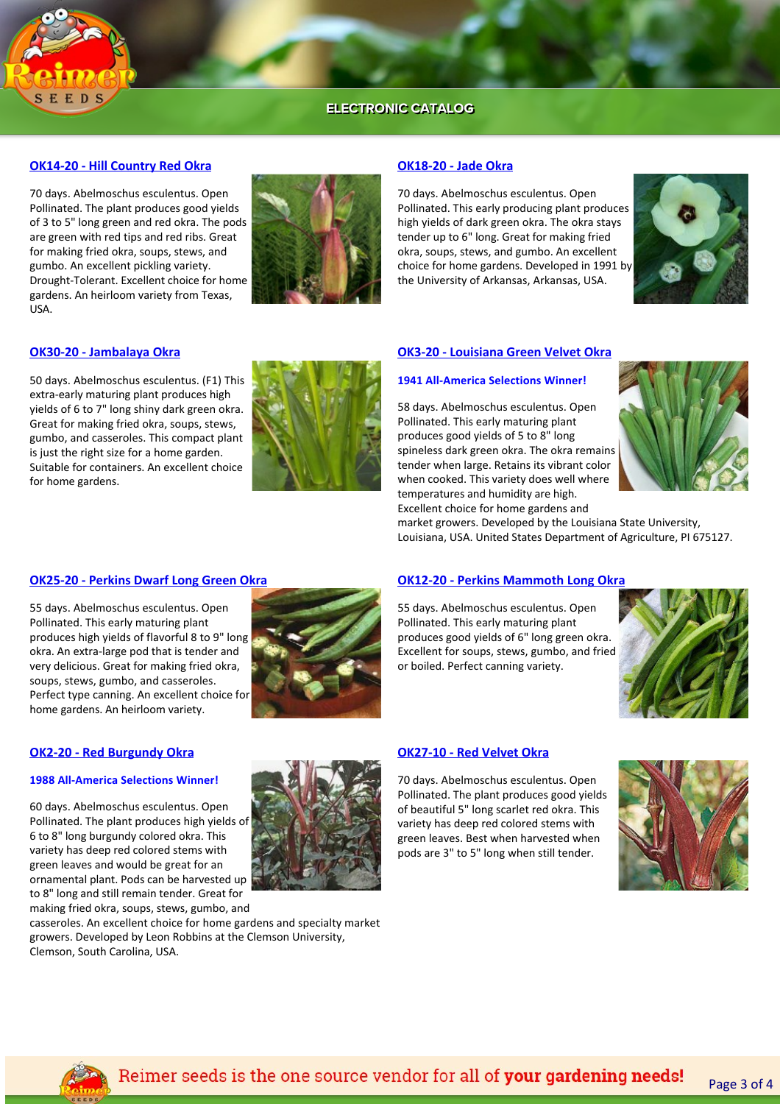

# **[OK14‐20 ‐ Hill Country Red Okra](https://www.reimerseeds.com//hill-country-red-okra.aspx)**

70 days. Abelmoschus esculentus. Open Pollinated. The plant produces good yields of 3 to 5" long green and red okra. The pods are green with red tips and red ribs. Great for making fried okra, soups, stews, and gumbo. An excellent pickling variety. Drought‐Tolerant. Excellent choice for home gardens. An heirloom variety from Texas, USA.



### **[OK18‐20 ‐ Jade Okra](https://www.reimerseeds.com//jade-okra.aspx)**

70 days. Abelmoschus esculentus. Open Pollinated. This early producing plant produces high yields of dark green okra. The okra stays tender up to 6" long. Great for making fried okra, soups, stews, and gumbo. An excellent choice for home gardens. Developed in 1991 by the University of Arkansas, Arkansas, USA.



### **[OK30‐20 ‐ Jambalaya Okra](https://www.reimerseeds.com//Jambalaya-Okra.aspx)**

50 days. Abelmoschus esculentus. (F1) This extra‐early maturing plant produces high yields of 6 to 7" long shiny dark green okra. Great for making fried okra, soups, stews, gumbo, and casseroles. This compact plant is just the right size for a home garden. Suitable for containers. An excellent choice for home gardens.



### **[OK3‐20 ‐ Louisiana Green Velvet Okra](https://www.reimerseeds.com//louisiana-green-velvet-okra.aspx)**

## **1941 All‐America Selections Winner!**

58 days. Abelmoschus esculentus. Open Pollinated. This early maturing plant produces good yields of 5 to 8" long spineless dark green okra. The okra remains tender when large. Retains its vibrant color when cooked. This variety does well where temperatures and humidity are high. Excellent choice for home gardens and



market growers. Developed by the Louisiana State University, Louisiana, USA. United States Department of Agriculture, PI 675127.

### **[OK25‐20 ‐ Perkins Dwarf Long Green Okra](https://www.reimerseeds.com//perkins-dwarf-long-green-okra.aspx)**

55 days. Abelmoschus esculentus. Open Pollinated. This early maturing plant produces high yields of flavorful 8 to 9" long okra. An extra‐large pod that is tender and very delicious. Great for making fried okra, soups, stews, gumbo, and casseroles. Perfect type canning. An excellent choice for home gardens. An heirloom variety.



#### **[OK12‐20 ‐ Perkins Mammoth Long Okra](https://www.reimerseeds.com//perkins-mammoth-long-red-okra.aspx)**

55 days. Abelmoschus esculentus. Open Pollinated. This early maturing plant produces good yields of 6" long green okra. Excellent for soups, stews, gumbo, and fried or boiled. Perfect canning variety.



#### **[OK2‐20 ‐ Red Burgundy Okra](https://www.reimerseeds.com//red-burgundy-okra.aspx)**

### **1988 All‐America Selections Winner!**

60 days. Abelmoschus esculentus. Open Pollinated. The plant produces high yields of 6 to 8" long burgundy colored okra. This variety has deep red colored stems with green leaves and would be great for an ornamental plant. Pods can be harvested up to 8" long and still remain tender. Great for making fried okra, soups, stews, gumbo, and



casseroles. An excellent choice for home gardens and specialty market growers. Developed by Leon Robbins at the Clemson University, Clemson, South Carolina, USA.

# **[OK27‐10 ‐ Red Velvet Okra](https://www.reimerseeds.com//red-velvet-okra.aspx)**

70 days. Abelmoschus esculentus. Open Pollinated. The plant produces good yields of beautiful 5" long scarlet red okra. This variety has deep red colored stems with green leaves. Best when harvested when pods are 3" to 5" long when still tender.